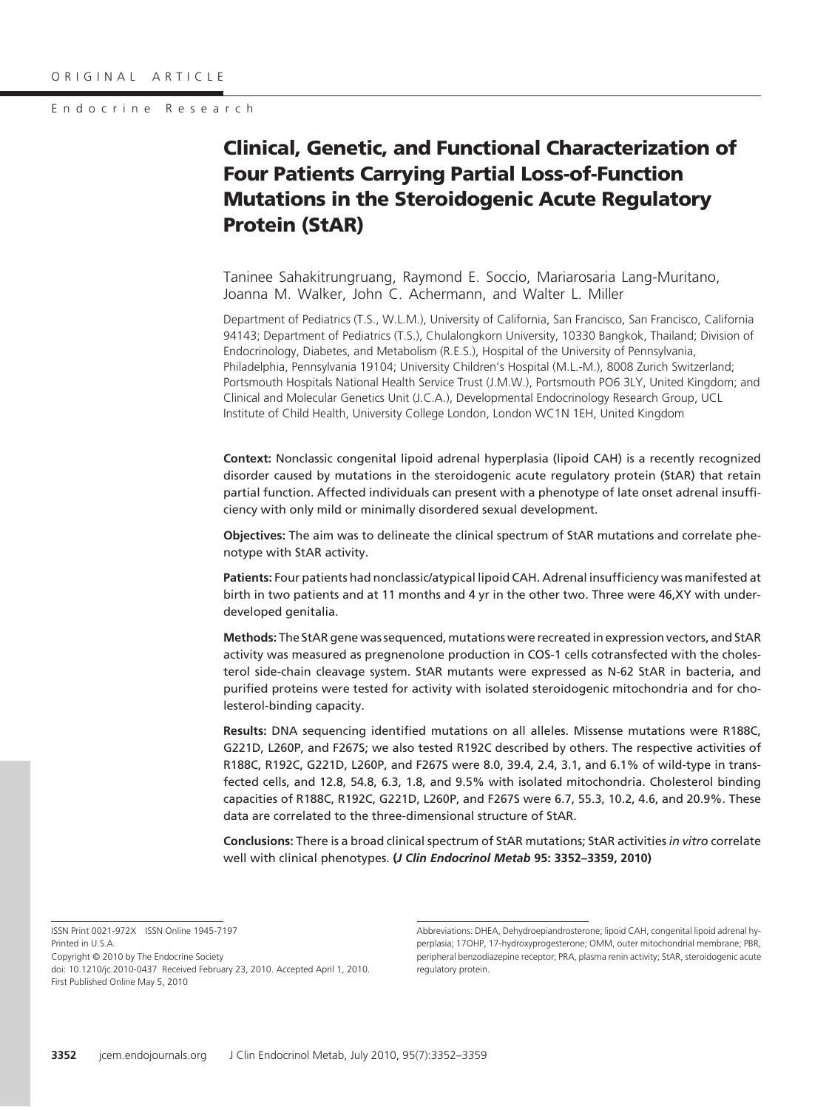# **Clinical, Genetic, and Functional Characterization of Four Patients Carrying Partial Loss-of-Function Mutations in the Steroidogenic Acute Regulatory Protein (StAR)**

Taninee Sahakitrungruang, Raymond E. Soccio, Mariarosaria Lang-Muritano, Joanna M. Walker, John C. Achermann, and Walter L. Miller

Department of Pediatrics (T.S., W.L.M.), University of California, San Francisco, San Francisco, California 94143; Department of Pediatrics (T.S.), Chulalongkorn University, 10330 Bangkok, Thailand; Division of Endocrinology, Diabetes, and Metabolism (R.E.S.), Hospital of the University of Pennsylvania, Philadelphia, Pennsylvania 19104; University Children's Hospital (M.L.-M.), 8008 Zurich Switzerland; Portsmouth Hospitals National Health Service Trust (J.M.W.), Portsmouth PO6 3LY, United Kingdom; and Clinical and Molecular Genetics Unit (J.C.A.), Developmental Endocrinology Research Group, UCL Institute of Child Health, University College London, London WC1N 1EH, United Kingdom

**Context:** Nonclassic congenital lipoid adrenal hyperplasia (lipoid CAH) is a recently recognized disorder caused by mutations in the steroidogenic acute regulatory protein (StAR) that retain partial function. Affected individuals can present with a phenotype of late onset adrenal insufficiency with only mild or minimally disordered sexual development.

**Objectives:** The aim was to delineate the clinical spectrum of StAR mutations and correlate phenotype with StAR activity.

**Patients:** Four patients had nonclassic/atypical lipoid CAH. Adrenal insufficiency was manifested at birth in two patients and at 11 months and 4 yr in the other two. Three were 46,XY with underdeveloped genitalia.

**Methods:** The StAR gene was sequenced, mutations were recreated in expression vectors, and StAR activity was measured as pregnenolone production in COS-1 cells cotransfected with the cholesterol side-chain cleavage system. StAR mutants were expressed as N-62 StAR in bacteria, and purified proteins were tested for activity with isolated steroidogenic mitochondria and for cholesterol-binding capacity.

**Results:** DNA sequencing identified mutations on all alleles. Missense mutations were R188C, G221D, L260P, and F267S; we also tested R192C described by others. The respective activities of R188C, R192C, G221D, L260P, and F267S were 8.0, 39.4, 2.4, 3.1, and 6.1% of wild-type in transfected cells, and 12.8, 54.8, 6.3, 1.8, and 9.5% with isolated mitochondria. Cholesterol binding capacities of R188C, R192C, G221D, L260P, and F267S were 6.7, 55.3, 10.2, 4.6, and 20.9%. These data are correlated to the three-dimensional structure of StAR.

**Conclusions:** There is a broad clinical spectrum of StAR mutations; StAR activities *in vitro* correlate well with clinical phenotypes. **(***J Clin Endocrinol Metab* **95: 3352–3359, 2010)**

ISSN Print 0021-972X ISSN Online 1945-7197 Printed in U.S.A. Copyright © 2010 by The Endocrine Society doi: 10.1210/jc.2010-0437 Received February 23, 2010. Accepted April 1, 2010. First Published Online May 5, 2010

Abbreviations: DHEA, Dehydroepiandrosterone; lipoid CAH, congenital lipoid adrenal hyperplasia; 17OHP, 17-hydroxyprogesterone; OMM, outer mitochondrial membrane; PBR, peripheral benzodiazepine receptor; PRA, plasma renin activity; StAR, steroidogenic acute regulatory protein.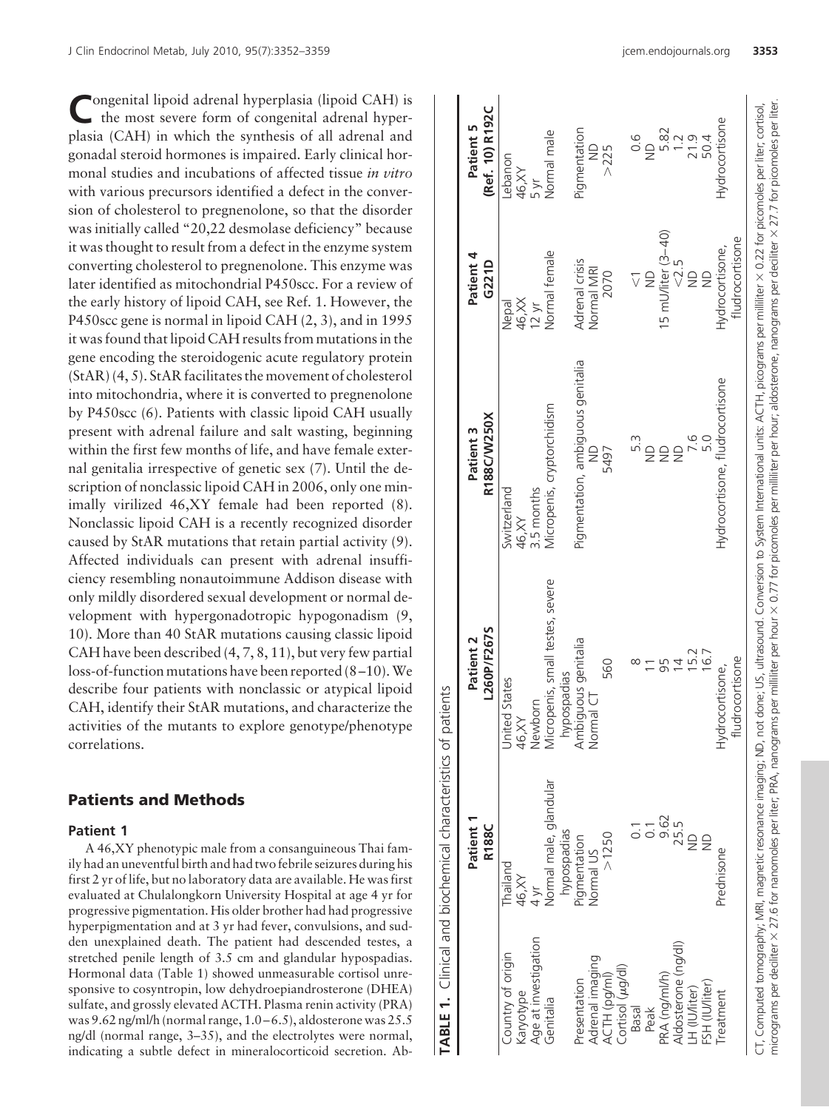Congenital lipoid adrenal hyperplasia (lipoid CAH) is the most severe form of congenital adrenal hyperplasia (CAH) in which the synthesis of all adrenal and gonadal steroid hormones is impaired. Early clinical hormonal studies and incubations of affected tissue *in vitro* with various precursors identified a defect in the conversion of cholesterol to pregnenolone, so that the disorder was initially called "20,22 desmolase deficiency" because it was thought to result from a defect in the enzyme system converting cholesterol to pregnenolone. This enzyme was later identified as mitochondrial P450scc. For a review of the early history of lipoid CAH, see Ref. 1. However, the P450scc gene is normal in lipoid CAH (2, 3), and in 1995 it was found that lipoid CAH results from mutations in the gene encoding the steroidogenic acute regulatory protein (StAR) (4, 5). StAR facilitates the movement of cholesterol into mitochondria, where it is converted to pregnenolone by P450scc (6). Patients with classic lipoid CAH usually present with adrenal failure and salt wasting, beginning within the first few months of life, and have female external genitalia irrespective of genetic sex (7). Until the description of nonclassic lipoid CAH in 2006, only one minimally virilized 46,XY female had been reported (8). Nonclassic lipoid CAH is a recently recognized disorder caused by StAR mutations that retain partial activity (9). Affected individuals can present with adrenal insufficiency resembling nonautoimmune Addison disease with only mildly disordered sexual development or normal development with hypergonadotropic hypogonadism (9, 10). More than 40 StAR mutations causing classic lipoid CAH have been described (4, 7, 8, 11), but very few partial loss-of-function mutations have been reported (8 –10).We describe four patients with nonclassic or atypical lipoid CAH, identify their StAR mutations, and characterize the activities of the mutants to explore genotype/phenotype correlations.

# **Patients and Methods**

#### **Patient 1**

A 46,XY phenotypic male from a consanguineous Thai family had an uneventful birth and had two febrile seizures during his first 2 yr of life, but no laboratory data are available. He was first evaluated at Chulalongkorn University Hospital at age 4 yr for progressive pigmentation. His older brother had had progressive hyperpigmentation and at 3 yr had fever, convulsions, and sudden unexplained death. The patient had descended testes, a stretched penile length of 3.5 cm and glandular hypospadias. Hormonal data (Table 1) showed unmeasurable cortisol unresponsive to cosyntropin, low dehydroepiandrosterone (DHEA) sulfate, and grossly elevated ACTH. Plasma renin activity (PRA) was  $9.62$  ng/ml/h (normal range,  $1.0 - 6.5$ ), aldosterone was  $25.5$ ng/dl (normal range, 3–35), and the electrolytes were normal, indicating a subtle defect in mineralocorticoid secretion. Ab**TABLE 1.** Clinical and biochemical characteristics of patients

TABLE 1. Clinical and biochemical characteristics of patients

|                                   | Patient 1<br>R1880                                     | L260P/F267S<br>Patient 2                        | R188C/W250X<br>Patient 3                                                                                                                                                                                           | Patient 4<br>G221D                 | (Ref. 10) R192C<br>Patient 5    |
|-----------------------------------|--------------------------------------------------------|-------------------------------------------------|--------------------------------------------------------------------------------------------------------------------------------------------------------------------------------------------------------------------|------------------------------------|---------------------------------|
| Country of origin<br>Karyotype    | Thailand<br>46, XY                                     | United States<br>46, XY<br>Newborn              | Switzerland<br>46, XY                                                                                                                                                                                              | 46, XX<br>Nepal                    | Lebanon<br>46, XY               |
| Age at investigation<br>Genitalia | Normal male, glandular<br>hypospadias<br>$\frac{1}{2}$ | Micropenis, small testes, severe<br>hypospadias | Micropenis, cryptorchidism<br>1.5 months                                                                                                                                                                           | Normal female<br>$12 \text{ yr}$   | Normal male<br>Б yr             |
| Adrenal imaging<br>Presentation   | Pigmentation<br><b>Normal US</b>                       | Ambiguous genitalia<br>mal CT<br>δğ             | Pigmentation, ambiguous genitalia<br>$\supseteq$                                                                                                                                                                   | Adrenal crisis<br>Normal MRI       | Pigmentation<br>$\supseteq$     |
| Cortisol (µg/dl)<br>ACTH (pg/ml)  | >1250                                                  | 560                                             | 5497                                                                                                                                                                                                               | 2070                               | >225                            |
| Basal                             |                                                        | ∞                                               | 5.3<br>$\supseteq$                                                                                                                                                                                                 | $\supseteq$<br>$\overline{\vee}$   | $\frac{6}{10}$<br>$\frac{1}{2}$ |
| PRA (ng/ml/h)<br>Peak             | 9.62                                                   | 95                                              | $\frac{1}{2}$                                                                                                                                                                                                      |                                    |                                 |
| Aldosterone (ng/dl)               | 25.5                                                   | 4                                               | $\frac{1}{2}$                                                                                                                                                                                                      | 15 mU/liter (3-40)<br>$<$ 2.5      | 5.2<br>1.9.1<br>2.0.4<br>50.4   |
| LH (IU/liter)                     | $\supseteq$                                            | 15.2                                            | 5.0<br>7. i                                                                                                                                                                                                        | $\supseteq$                        |                                 |
| FSH (IU/liter)                    |                                                        | 16.7                                            |                                                                                                                                                                                                                    | $\supseteq$                        |                                 |
| reatment                          | Prednisone                                             | fludrocortisone<br>Hydrocortisone,              | Hydrocortisone, fludrocortisone                                                                                                                                                                                    | fludrocortisone<br>Hydrocortisone, | Hydrocortisone                  |
|                                   |                                                        |                                                 | . T, Computed tomography; MRI, magnetic resonance imaging; ND, not done; US, ultrasound. Conversion to System International units: ACTH, picograms per milliliter $\times$ 0.22 for picomoles per liter; cortisol, |                                    |                                 |

micrograms per deciliter

×

27.6 for nanomoles per liter; PRA, nanograms per milliliter per hour

×

0.77 for picomoles per milliliter per hour; aldosterone, nanograms per deciliter

×

27.7 for picomoles per liter.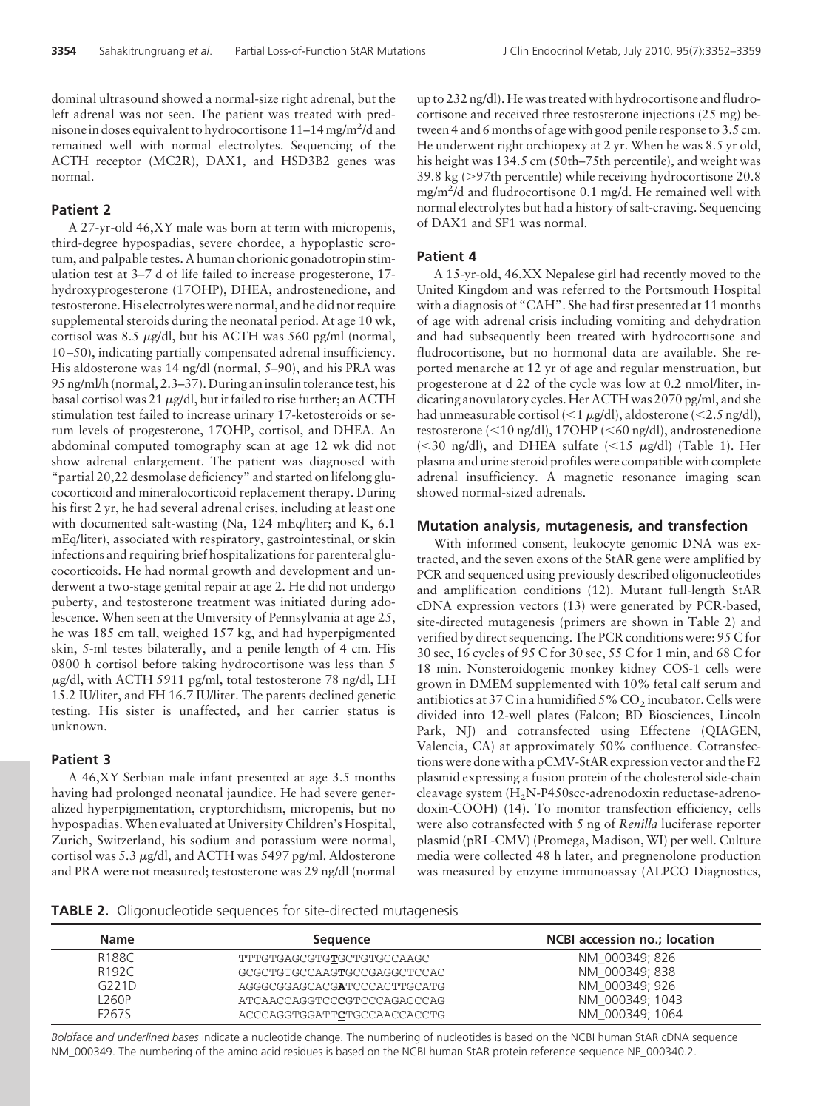dominal ultrasound showed a normal-size right adrenal, but the left adrenal was not seen. The patient was treated with prednisone in doses equivalent to hydrocortisone 11–14 mg/m<sup>2</sup>/d and remained well with normal electrolytes. Sequencing of the ACTH receptor (MC2R), DAX1, and HSD3B2 genes was normal.

#### **Patient 2**

A 27-yr-old 46,XY male was born at term with micropenis, third-degree hypospadias, severe chordee, a hypoplastic scrotum, and palpable testes. A human chorionic gonadotropin stimulation test at 3–7 d of life failed to increase progesterone, 17 hydroxyprogesterone (17OHP), DHEA, androstenedione, and testosterone. His electrolytes were normal, and he did not require supplemental steroids during the neonatal period. At age 10 wk, cortisol was 8.5  $\mu$ g/dl, but his ACTH was 560 pg/ml (normal, 10 –50), indicating partially compensated adrenal insufficiency. His aldosterone was 14 ng/dl (normal, 5–90), and his PRA was 95 ng/ml/h (normal, 2.3–37). During an insulin tolerance test, his basal cortisol was 21  $\mu$ g/dl, but it failed to rise further; an ACTH stimulation test failed to increase urinary 17-ketosteroids or serum levels of progesterone, 17OHP, cortisol, and DHEA. An abdominal computed tomography scan at age 12 wk did not show adrenal enlargement. The patient was diagnosed with "partial 20,22 desmolase deficiency" and started on lifelong glucocorticoid and mineralocorticoid replacement therapy. During his first 2 yr, he had several adrenal crises, including at least one with documented salt-wasting (Na, 124 mEq/liter; and K, 6.1 mEq/liter), associated with respiratory, gastrointestinal, or skin infections and requiring brief hospitalizations for parenteral glucocorticoids. He had normal growth and development and underwent a two-stage genital repair at age 2. He did not undergo puberty, and testosterone treatment was initiated during adolescence. When seen at the University of Pennsylvania at age 25, he was 185 cm tall, weighed 157 kg, and had hyperpigmented skin, 5-ml testes bilaterally, and a penile length of 4 cm. His 0800 h cortisol before taking hydrocortisone was less than 5 g/dl, with ACTH 5911 pg/ml, total testosterone 78 ng/dl, LH 15.2 IU/liter, and FH 16.7 IU/liter. The parents declined genetic testing. His sister is unaffected, and her carrier status is unknown.

#### **Patient 3**

A 46,XY Serbian male infant presented at age 3.5 months having had prolonged neonatal jaundice. He had severe generalized hyperpigmentation, cryptorchidism, micropenis, but no hypospadias. When evaluated at University Children's Hospital, Zurich, Switzerland, his sodium and potassium were normal, cortisol was 5.3  $\mu$ g/dl, and ACTH was 5497 pg/ml. Aldosterone and PRA were not measured; testosterone was 29 ng/dl (normal up to 232 ng/dl). He was treated with hydrocortisone and fludrocortisone and received three testosterone injections (25 mg) between 4 and 6 months of age with good penile response to 3.5 cm. He underwent right orchiopexy at 2 yr. When he was 8.5 yr old, his height was 134.5 cm (50th–75th percentile), and weight was  $39.8 \text{ kg}$  ( $>97$ th percentile) while receiving hydrocortisone 20.8 mg/m2 /d and fludrocortisone 0.1 mg/d. He remained well with normal electrolytes but had a history of salt-craving. Sequencing of DAX1 and SF1 was normal.

#### **Patient 4**

A 15-yr-old, 46,XX Nepalese girl had recently moved to the United Kingdom and was referred to the Portsmouth Hospital with a diagnosis of "CAH". She had first presented at 11 months of age with adrenal crisis including vomiting and dehydration and had subsequently been treated with hydrocortisone and fludrocortisone, but no hormonal data are available. She reported menarche at 12 yr of age and regular menstruation, but progesterone at d 22 of the cycle was low at 0.2 nmol/liter, indicating anovulatory cycles. Her ACTH was 2070 pg/ml, and she had unmeasurable cortisol (<1 µg/dl), aldosterone (<2.5 ng/dl), testosterone (<10 ng/dl), 17OHP (<60 ng/dl), androstenedione (<30 ng/dl), and DHEA sulfate (<15  $\mu$ g/dl) (Table 1). Her plasma and urine steroid profiles were compatible with complete adrenal insufficiency. A magnetic resonance imaging scan showed normal-sized adrenals.

#### **Mutation analysis, mutagenesis, and transfection**

With informed consent, leukocyte genomic DNA was extracted, and the seven exons of the StAR gene were amplified by PCR and sequenced using previously described oligonucleotides and amplification conditions (12). Mutant full-length StAR cDNA expression vectors (13) were generated by PCR-based, site-directed mutagenesis (primers are shown in Table 2) and verified by direct sequencing. The PCR conditions were: 95 C for 30 sec, 16 cycles of 95 C for 30 sec, 55 C for 1 min, and 68 C for 18 min. Nonsteroidogenic monkey kidney COS-1 cells were grown in DMEM supplemented with 10% fetal calf serum and antibiotics at 37 C in a humidified  $5\%$  CO<sub>2</sub> incubator. Cells were divided into 12-well plates (Falcon; BD Biosciences, Lincoln Park, NJ) and cotransfected using Effectene (QIAGEN, Valencia, CA) at approximately 50% confluence. Cotransfections were done with a pCMV-StAR expression vector and the F2 plasmid expressing a fusion protein of the cholesterol side-chain cleavage system (H<sub>2</sub>N-P450scc-adrenodoxin reductase-adrenodoxin-COOH) (14). To monitor transfection efficiency, cells were also cotransfected with 5 ng of *Renilla* luciferase reporter plasmid (pRL-CMV) (Promega, Madison, WI) per well. Culture media were collected 48 h later, and pregnenolone production was measured by enzyme immunoassay (ALPCO Diagnostics,

**TABLE 2.** Oligonucleotide sequences for site-directed mutagenesis

| <b>Name</b> | Sequence                    | NCBI accession no.; location |
|-------------|-----------------------------|------------------------------|
| R188C       | TTTGTGAGCGTGTGCTGTGCCAAGC   | NM 000349; 826               |
| R192C       | GCGCTGTGCCAAGTGCCGAGGCTCCAC | NM 000349: 838               |
| G221D       | AGGGCGGAGCACGATCCCACTTGCATG | NM 000349; 926               |
| L260P       | ATCAACCAGGTCCCGTCCCAGACCCAG | NM 000349: 1043              |
| F267S       | ACCCAGGTGGATTCTGCCAACCACCTG | NM 000349: 1064              |

*Boldface and underlined bases* indicate a nucleotide change. The numbering of nucleotides is based on the NCBI human StAR cDNA sequence NM\_000349. The numbering of the amino acid residues is based on the NCBI human StAR protein reference sequence NP\_000340.2.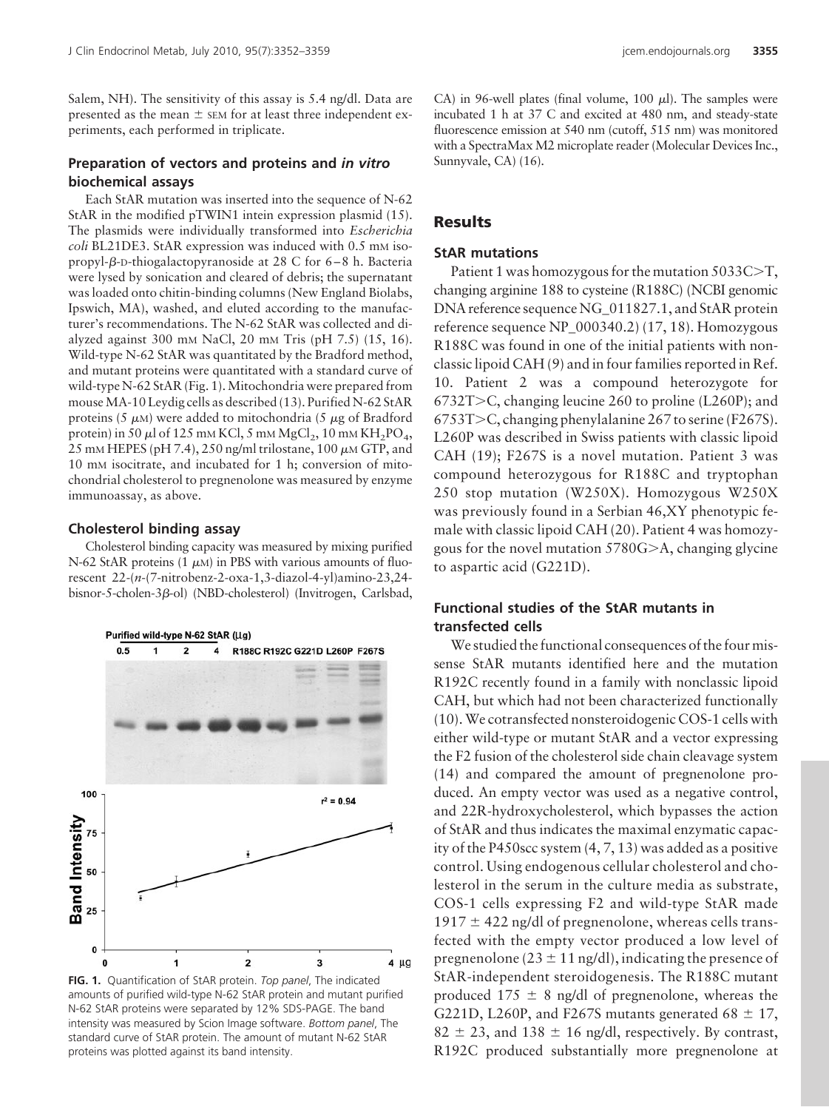Salem, NH). The sensitivity of this assay is 5.4 ng/dl. Data are presented as the mean  $\pm$  sem for at least three independent experiments, each performed in triplicate.

#### **Preparation of vectors and proteins and** *in vitro* **biochemical assays**

Each StAR mutation was inserted into the sequence of N-62 StAR in the modified pTWIN1 intein expression plasmid (15). The plasmids were individually transformed into *Escherichia coli* BL21DE3. StAR expression was induced with 0.5 mm isopropyl-ß-<code>D-thiogalactopyranoside</code> at 28 C for 6–8 h. Bacteria were lysed by sonication and cleared of debris; the supernatant was loaded onto chitin-binding columns (New England Biolabs, Ipswich, MA), washed, and eluted according to the manufacturer's recommendations. The N-62 StAR was collected and dialyzed against 300 mM NaCl, 20 mM Tris (pH 7.5) (15, 16). Wild-type N-62 StAR was quantitated by the Bradford method, and mutant proteins were quantitated with a standard curve of wild-type N-62 StAR (Fig. 1). Mitochondria were prepared from mouseMA-10 Leydig cells as described (13). Purified N-62 StAR proteins (5  $\mu$ M) were added to mitochondria (5  $\mu$ g of Bradford protein) in 50  $\mu$ l of 125 mm KCl, 5 mm MgCl<sub>2</sub>, 10 mm KH<sub>2</sub>PO<sub>4</sub>, 25 mm HEPES (pH 7.4), 250 ng/ml trilostane, 100  $\mu$ m GTP, and 10 mM isocitrate, and incubated for 1 h; conversion of mitochondrial cholesterol to pregnenolone was measured by enzyme immunoassay, as above.

#### **Cholesterol binding assay**

Cholesterol binding capacity was measured by mixing purified N-62 StAR proteins  $(1 \mu M)$  in PBS with various amounts of fluorescent 22-(*n*-(7-nitrobenz-2-oxa-1,3-diazol-4-yl)amino-23,24 bisnor-5-cholen-3β-ol) (NBD-cholesterol) (Invitrogen, Carlsbad,



**FIG. 1.** Quantification of StAR protein. *Top panel*, The indicated amounts of purified wild-type N-62 StAR protein and mutant purified N-62 StAR proteins were separated by 12% SDS-PAGE. The band intensity was measured by Scion Image software. *Bottom panel*, The standard curve of StAR protein. The amount of mutant N-62 StAR proteins was plotted against its band intensity.

CA) in 96-well plates (final volume, 100  $\mu$ l). The samples were incubated 1 h at 37 C and excited at 480 nm, and steady-state fluorescence emission at 540 nm (cutoff, 515 nm) was monitored with a SpectraMax M2 microplate reader (Molecular Devices Inc., Sunnyvale, CA) (16).

# **Results**

## **StAR mutations**

Patient 1 was homozygous for the mutation  $5033C>T$ , changing arginine 188 to cysteine (R188C) (NCBI genomic DNA reference sequence NG 011827.1, and StAR protein reference sequence NP\_000340.2) (17, 18). Homozygous R188C was found in one of the initial patients with nonclassic lipoid CAH (9) and in four families reported in Ref. 10. Patient 2 was a compound heterozygote for  $6732T>C$ , changing leucine 260 to proline (L260P); and  $6753T>C$ , changing phenylalanine 267 to serine (F267S). L260P was described in Swiss patients with classic lipoid CAH (19); F267S is a novel mutation. Patient 3 was compound heterozygous for R188C and tryptophan 250 stop mutation (W250X). Homozygous W250X was previously found in a Serbian 46,XY phenotypic female with classic lipoid CAH (20). Patient 4 was homozygous for the novel mutation  $5780G$  $>A$ , changing glycine to aspartic acid (G221D).

# **Functional studies of the StAR mutants in transfected cells**

We studied the functional consequences of the four missense StAR mutants identified here and the mutation R192C recently found in a family with nonclassic lipoid CAH, but which had not been characterized functionally (10).We cotransfected nonsteroidogenic COS-1 cells with either wild-type or mutant StAR and a vector expressing the F2 fusion of the cholesterol side chain cleavage system (14) and compared the amount of pregnenolone produced. An empty vector was used as a negative control, and 22R-hydroxycholesterol, which bypasses the action of StAR and thus indicates the maximal enzymatic capacity of the P450scc system (4, 7, 13) was added as a positive control. Using endogenous cellular cholesterol and cholesterol in the serum in the culture media as substrate, COS-1 cells expressing F2 and wild-type StAR made  $1917 \pm 422$  ng/dl of pregnenolone, whereas cells transfected with the empty vector produced a low level of pregnenolone ( $23 \pm 11$  ng/dl), indicating the presence of StAR-independent steroidogenesis. The R188C mutant produced  $175 \pm 8$  ng/dl of pregnenolone, whereas the G221D, L260P, and F267S mutants generated 68  $\pm$  17,  $82 \pm 23$ , and  $138 \pm 16$  ng/dl, respectively. By contrast, R192C produced substantially more pregnenolone at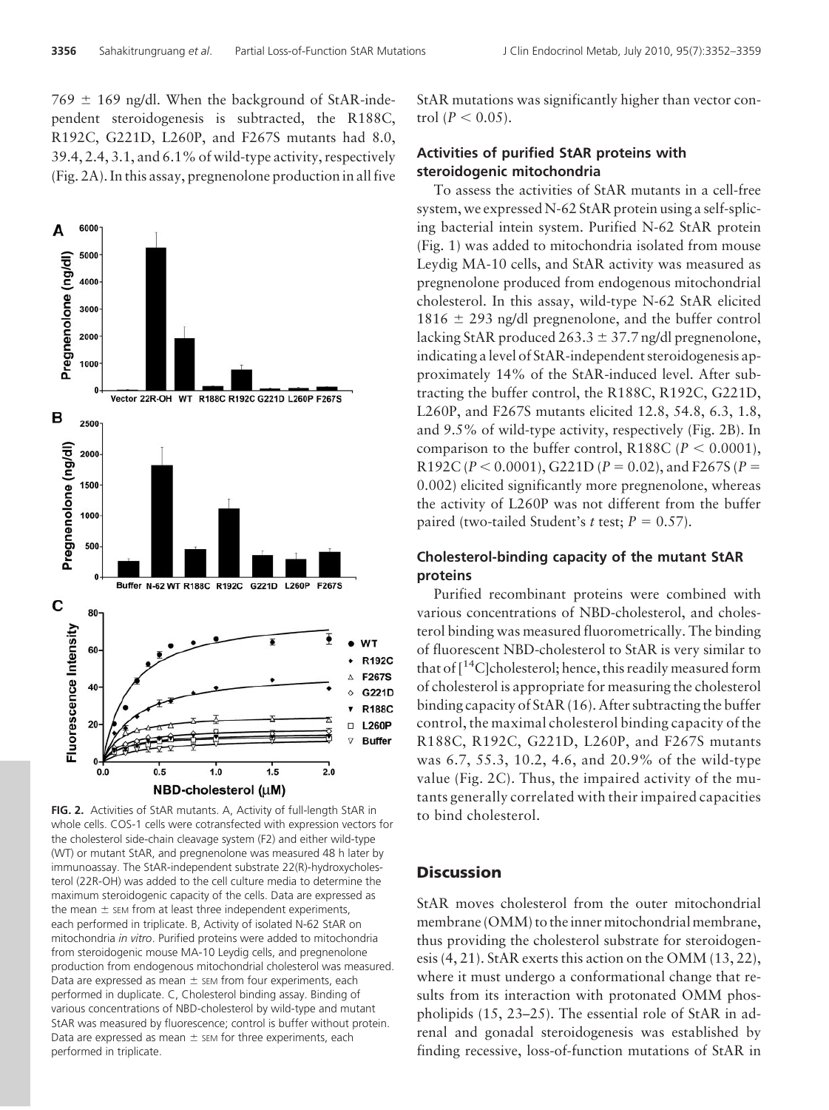$769 \pm 169$  ng/dl. When the background of StAR-independent steroidogenesis is subtracted, the R188C, R192C, G221D, L260P, and F267S mutants had 8.0, 39.4, 2.4, 3.1, and 6.1% of wild-type activity, respectively (Fig. 2A). In this assay, pregnenolone production in all five



**FIG. 2.** Activities of StAR mutants. A, Activity of full-length StAR in whole cells. COS-1 cells were cotransfected with expression vectors for the cholesterol side-chain cleavage system (F2) and either wild-type (WT) or mutant StAR, and pregnenolone was measured 48 h later by immunoassay. The StAR-independent substrate 22(R)-hydroxycholesterol (22R-OH) was added to the cell culture media to determine the maximum steroidogenic capacity of the cells. Data are expressed as the mean  $\pm$  sem from at least three independent experiments, each performed in triplicate. B, Activity of isolated N-62 StAR on mitochondria *in vitro*. Purified proteins were added to mitochondria from steroidogenic mouse MA-10 Leydig cells, and pregnenolone production from endogenous mitochondrial cholesterol was measured. Data are expressed as mean  $\pm$  sem from four experiments, each performed in duplicate. C, Cholesterol binding assay. Binding of various concentrations of NBD-cholesterol by wild-type and mutant StAR was measured by fluorescence; control is buffer without protein. Data are expressed as mean  $\pm$  sem for three experiments, each performed in triplicate.

StAR mutations was significantly higher than vector con- $\text{trol} \ (P < 0.05).$ 

# **Activities of purified StAR proteins with steroidogenic mitochondria**

To assess the activities of StAR mutants in a cell-free system, we expressed N-62 StAR protein using a self-splicing bacterial intein system. Purified N-62 StAR protein (Fig. 1) was added to mitochondria isolated from mouse Leydig MA-10 cells, and StAR activity was measured as pregnenolone produced from endogenous mitochondrial cholesterol. In this assay, wild-type N-62 StAR elicited 1816  $\pm$  293 ng/dl pregnenolone, and the buffer control lacking StAR produced  $263.3 \pm 37.7$  ng/dl pregnenolone, indicating a level of StAR-independent steroidogenesis approximately 14% of the StAR-induced level. After subtracting the buffer control, the R188C, R192C, G221D, L260P, and F267S mutants elicited 12.8, 54.8, 6.3, 1.8, and 9.5% of wild-type activity, respectively (Fig. 2B). In comparison to the buffer control, R188C ( $P < 0.0001$ ),  $R192C (P < 0.0001), G221D (P = 0.02),$  and F267S (*P* = 0.002) elicited significantly more pregnenolone, whereas the activity of L260P was not different from the buffer paired (two-tailed Student's *t* test;  $P = 0.57$ ).

# **Cholesterol-binding capacity of the mutant StAR proteins**

Purified recombinant proteins were combined with various concentrations of NBD-cholesterol, and cholesterol binding was measured fluorometrically. The binding of fluorescent NBD-cholesterol to StAR is very similar to that of  $\lceil^{14}C\rceil$ cholesterol; hence, this readily measured form of cholesterol is appropriate for measuring the cholesterol binding capacity of StAR (16). After subtracting the buffer control, the maximal cholesterol binding capacity of the R188C, R192C, G221D, L260P, and F267S mutants was 6.7, 55.3, 10.2, 4.6, and 20.9% of the wild-type value (Fig. 2C). Thus, the impaired activity of the mutants generally correlated with their impaired capacities to bind cholesterol.

# **Discussion**

StAR moves cholesterol from the outer mitochondrial membrane (OMM) to the inner mitochondrial membrane, thus providing the cholesterol substrate for steroidogenesis (4, 21). StAR exerts this action on the OMM (13, 22), where it must undergo a conformational change that results from its interaction with protonated OMM phospholipids (15, 23–25). The essential role of StAR in adrenal and gonadal steroidogenesis was established by finding recessive, loss-of-function mutations of StAR in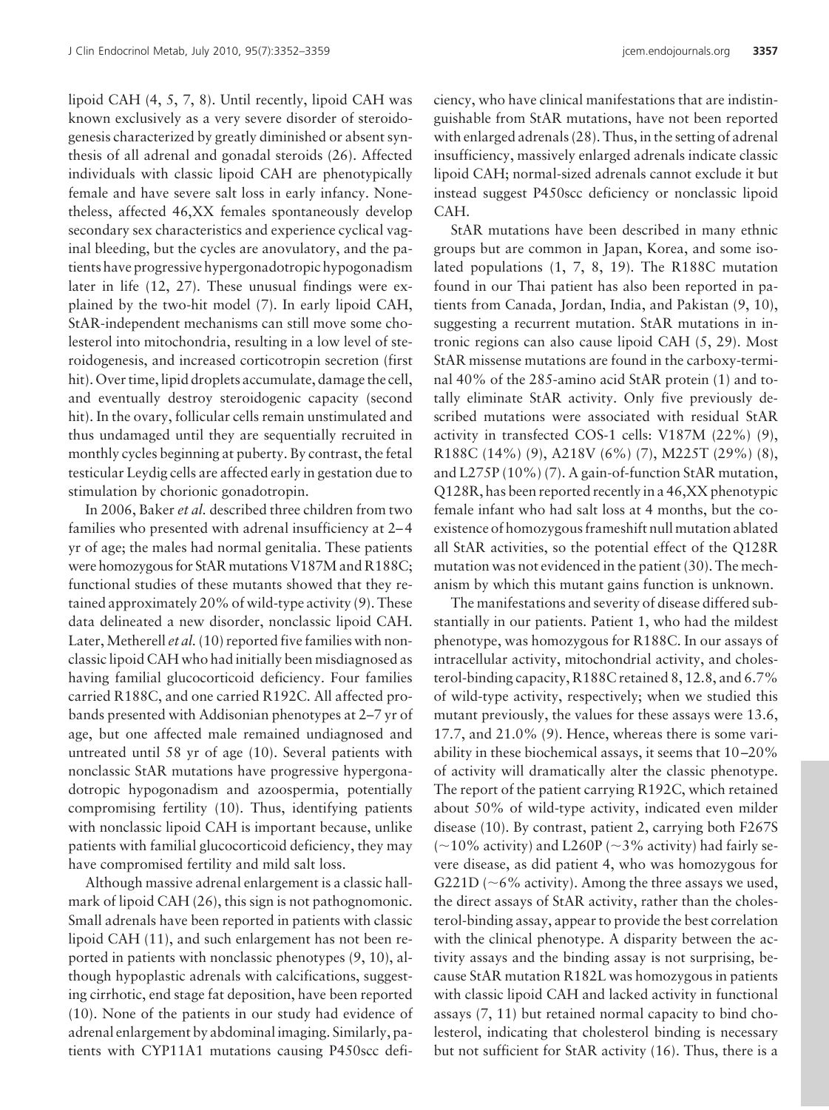lipoid CAH (4, 5, 7, 8). Until recently, lipoid CAH was known exclusively as a very severe disorder of steroidogenesis characterized by greatly diminished or absent synthesis of all adrenal and gonadal steroids (26). Affected individuals with classic lipoid CAH are phenotypically female and have severe salt loss in early infancy. Nonetheless, affected 46,XX females spontaneously develop secondary sex characteristics and experience cyclical vaginal bleeding, but the cycles are anovulatory, and the patients have progressive hypergonadotropic hypogonadism later in life (12, 27). These unusual findings were explained by the two-hit model (7). In early lipoid CAH, StAR-independent mechanisms can still move some cholesterol into mitochondria, resulting in a low level of steroidogenesis, and increased corticotropin secretion (first hit). Over time, lipid droplets accumulate, damage the cell, and eventually destroy steroidogenic capacity (second hit). In the ovary, follicular cells remain unstimulated and thus undamaged until they are sequentially recruited in monthly cycles beginning at puberty. By contrast, the fetal testicular Leydig cells are affected early in gestation due to stimulation by chorionic gonadotropin.

In 2006, Baker *et al.* described three children from two families who presented with adrenal insufficiency at 2– 4 yr of age; the males had normal genitalia. These patients were homozygous for StAR mutations V187M and R188C; functional studies of these mutants showed that they retained approximately 20% of wild-type activity (9). These data delineated a new disorder, nonclassic lipoid CAH. Later, Metherell *et al.* (10) reported five families with nonclassic lipoid CAH who had initially been misdiagnosed as having familial glucocorticoid deficiency. Four families carried R188C, and one carried R192C. All affected probands presented with Addisonian phenotypes at 2–7 yr of age, but one affected male remained undiagnosed and untreated until 58 yr of age (10). Several patients with nonclassic StAR mutations have progressive hypergonadotropic hypogonadism and azoospermia, potentially compromising fertility (10). Thus, identifying patients with nonclassic lipoid CAH is important because, unlike patients with familial glucocorticoid deficiency, they may have compromised fertility and mild salt loss.

Although massive adrenal enlargement is a classic hallmark of lipoid CAH (26), this sign is not pathognomonic. Small adrenals have been reported in patients with classic lipoid CAH (11), and such enlargement has not been reported in patients with nonclassic phenotypes (9, 10), although hypoplastic adrenals with calcifications, suggesting cirrhotic, end stage fat deposition, have been reported (10). None of the patients in our study had evidence of adrenal enlargement by abdominal imaging. Similarly, patients with CYP11A1 mutations causing P450scc deficiency, who have clinical manifestations that are indistinguishable from StAR mutations, have not been reported with enlarged adrenals (28). Thus, in the setting of adrenal insufficiency, massively enlarged adrenals indicate classic lipoid CAH; normal-sized adrenals cannot exclude it but instead suggest P450scc deficiency or nonclassic lipoid CAH.

StAR mutations have been described in many ethnic groups but are common in Japan, Korea, and some isolated populations (1, 7, 8, 19). The R188C mutation found in our Thai patient has also been reported in patients from Canada, Jordan, India, and Pakistan (9, 10), suggesting a recurrent mutation. StAR mutations in intronic regions can also cause lipoid CAH (5, 29). Most StAR missense mutations are found in the carboxy-terminal 40% of the 285-amino acid StAR protein (1) and totally eliminate StAR activity. Only five previously described mutations were associated with residual StAR activity in transfected COS-1 cells: V187M (22%) (9), R188C (14%) (9), A218V (6%) (7), M225T (29%) (8), and L275P (10%) (7). A gain-of-function StAR mutation, Q128R, has been reported recently in a 46,XX phenotypic female infant who had salt loss at 4 months, but the coexistence of homozygous frameshift null mutation ablated all StAR activities, so the potential effect of the Q128R mutation was not evidenced in the patient (30). The mechanism by which this mutant gains function is unknown.

The manifestations and severity of disease differed substantially in our patients. Patient 1, who had the mildest phenotype, was homozygous for R188C. In our assays of intracellular activity, mitochondrial activity, and cholesterol-binding capacity, R188C retained 8, 12.8, and 6.7% of wild-type activity, respectively; when we studied this mutant previously, the values for these assays were 13.6, 17.7, and 21.0% (9). Hence, whereas there is some variability in these biochemical assays, it seems that 10 –20% of activity will dramatically alter the classic phenotype. The report of the patient carrying R192C, which retained about 50% of wild-type activity, indicated even milder disease (10). By contrast, patient 2, carrying both F267S  $(-10\%$  activity) and L260P ( $\sim$ 3% activity) had fairly severe disease, as did patient 4, who was homozygous for G221D ( $\sim$ 6% activity). Among the three assays we used, the direct assays of StAR activity, rather than the cholesterol-binding assay, appear to provide the best correlation with the clinical phenotype. A disparity between the activity assays and the binding assay is not surprising, because StAR mutation R182L was homozygous in patients with classic lipoid CAH and lacked activity in functional assays (7, 11) but retained normal capacity to bind cholesterol, indicating that cholesterol binding is necessary but not sufficient for StAR activity (16). Thus, there is a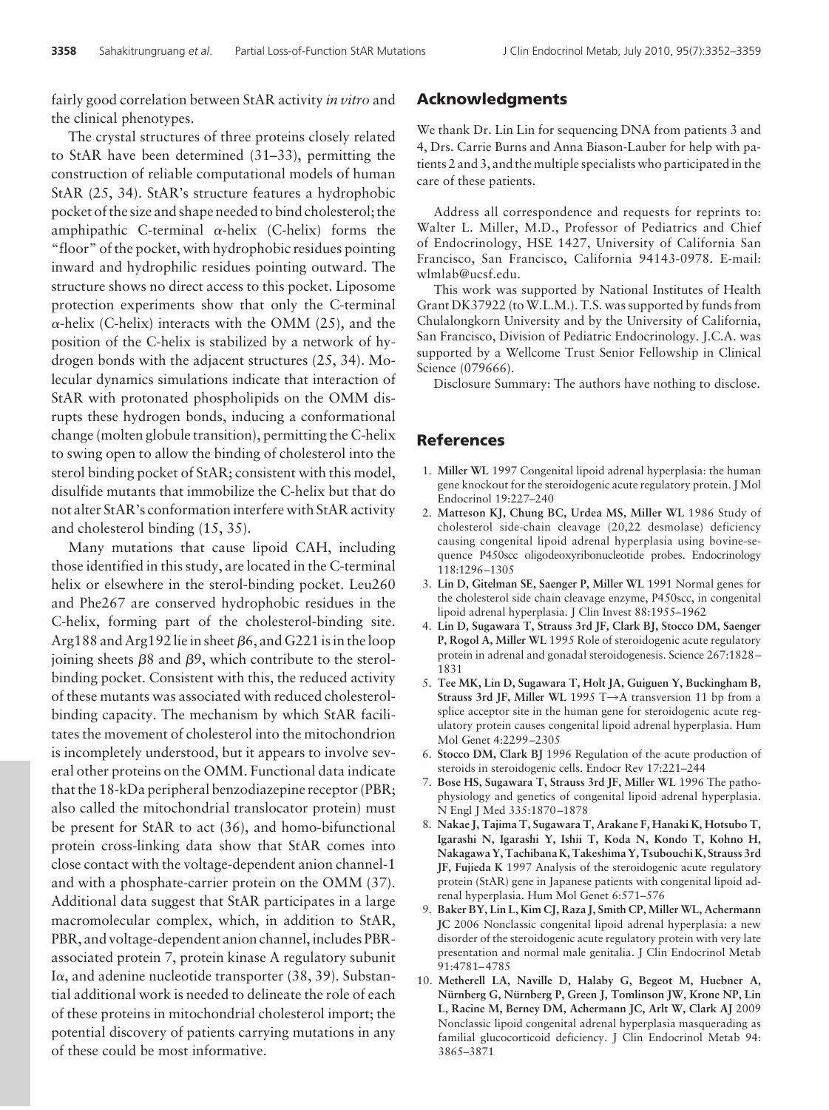fairly good correlation between StAR activity *in vitro* and the clinical phenotypes.

The crystal structures of three proteins closely related to StAR have been determined (31–33), permitting the construction of reliable computational models of human StAR (25, 34). StAR's structure features a hydrophobic pocket of the size and shape needed to bind cholesterol; the amphipathic C-terminal  $\alpha$ -helix (C-helix) forms the "floor" of the pocket, with hydrophobic residues pointing inward and hydrophilic residues pointing outward. The structure shows no direct access to this pocket. Liposome protection experiments show that only the C-terminal  $\alpha$ -helix (C-helix) interacts with the OMM (25), and the position of the C-helix is stabilized by a network of hydrogen bonds with the adjacent structures (25, 34). Molecular dynamics simulations indicate that interaction of StAR with protonated phospholipids on the OMM disrupts these hydrogen bonds, inducing a conformational change (molten globule transition), permitting the C-helix to swing open to allow the binding of cholesterol into the sterol binding pocket of StAR; consistent with this model, disulfide mutants that immobilize the C-helix but that do not alter StAR's conformation interfere with StAR activity and cholesterol binding (15, 35).

Many mutations that cause lipoid CAH, including those identified in this study, are located in the C-terminal helix or elsewhere in the sterol-binding pocket. Leu260 and Phe267 are conserved hydrophobic residues in the C-helix, forming part of the cholesterol-binding site. Arg  $188$  and Arg  $192$  lie in sheet  $\beta$ 6, and G221 is in the loop joining sheets  $\beta$ 8 and  $\beta$ 9, which contribute to the sterolbinding pocket. Consistent with this, the reduced activity of these mutants was associated with reduced cholesterolbinding capacity. The mechanism by which StAR facilitates the movement of cholesterol into the mitochondrion is incompletely understood, but it appears to involve several other proteins on the OMM. Functional data indicate that the 18-kDa peripheral benzodiazepine receptor (PBR; also called the mitochondrial translocator protein) must be present for StAR to act (36), and homo-bifunctional protein cross-linking data show that StAR comes into close contact with the voltage-dependent anion channel-1 and with a phosphate-carrier protein on the OMM (37). Additional data suggest that StAR participates in a large macromolecular complex, which, in addition to StAR, PBR, and voltage-dependent anion channel, includes PBRassociated protein 7, protein kinase A regulatory subunit I $\alpha$ , and adenine nucleotide transporter (38, 39). Substantial additional work is needed to delineate the role of each of these proteins in mitochondrial cholesterol import; the potential discovery of patients carrying mutations in any of these could be most informative.

## **Acknowledgments**

We thank Dr. Lin Lin for sequencing DNA from patients 3 and 4, Drs. Carrie Burns and Anna Biason-Lauber for help with patients 2 and 3, and the multiple specialists who participated in the care of these patients.

Address all correspondence and requests for reprints to: Walter L. Miller, M.D., Professor of Pediatrics and Chief of Endocrinology, HSE 1427, University of California San Francisco, San Francisco, California 94143-0978. E-mail: wlmlab@ucsf.edu.

This work was supported by National Institutes of Health Grant DK37922 (to W.L.M.). T.S. was supported by funds from Chulalongkorn University and by the University of California, San Francisco, Division of Pediatric Endocrinology. J.C.A. was supported by a Wellcome Trust Senior Fellowship in Clinical Science (079666).

Disclosure Summary: The authors have nothing to disclose.

#### **References**

- 1. **Miller WL** 1997 Congenital lipoid adrenal hyperplasia: the human gene knockout for the steroidogenic acute regulatory protein. J Mol Endocrinol 19:227–240
- 2. **Matteson KJ, Chung BC, Urdea MS, Miller WL** 1986 Study of cholesterol side-chain cleavage (20,22 desmolase) deficiency causing congenital lipoid adrenal hyperplasia using bovine-sequence P450scc oligodeoxyribonucleotide probes. Endocrinology 118:1296 –1305
- 3. **Lin D, Gitelman SE, Saenger P, Miller WL** 1991 Normal genes for the cholesterol side chain cleavage enzyme, P450scc, in congenital lipoid adrenal hyperplasia. J Clin Invest 88:1955–1962
- 4. **Lin D, Sugawara T, Strauss 3rd JF, Clark BJ, Stocco DM, Saenger P, Rogol A, Miller WL** 1995 Role of steroidogenic acute regulatory protein in adrenal and gonadal steroidogenesis. Science 267:1828 – 1831
- 5. **Tee MK, Lin D, Sugawara T, Holt JA, Guiguen Y, Buckingham B, Strauss 3rd JF, Miller WL** 1995 T→A transversion 11 bp from a splice acceptor site in the human gene for steroidogenic acute regulatory protein causes congenital lipoid adrenal hyperplasia. Hum Mol Genet 4:2299 –2305
- 6. **Stocco DM, Clark BJ** 1996 Regulation of the acute production of steroids in steroidogenic cells. Endocr Rev 17:221–244
- 7. **Bose HS, Sugawara T, Strauss 3rd JF, Miller WL** 1996 The pathophysiology and genetics of congenital lipoid adrenal hyperplasia. N Engl J Med 335:1870 –1878
- 8. **Nakae J, Tajima T, Sugawara T, Arakane F, Hanaki K, Hotsubo T, Igarashi N, Igarashi Y, Ishii T, Koda N, Kondo T, Kohno H, Nakagawa Y, Tachibana K, Takeshima Y, Tsubouchi K, Strauss 3rd JF, Fujieda K** 1997 Analysis of the steroidogenic acute regulatory protein (StAR) gene in Japanese patients with congenital lipoid adrenal hyperplasia. Hum Mol Genet 6:571–576
- 9. **Baker BY, Lin L, Kim CJ, Raza J, Smith CP, Miller WL, Achermann JC** 2006 Nonclassic congenital lipoid adrenal hyperplasia: a new disorder of the steroidogenic acute regulatory protein with very late presentation and normal male genitalia. J Clin Endocrinol Metab 91:4781– 4785
- 10. **Metherell LA, Naville D, Halaby G, Begeot M, Huebner A,** Nürnberg G, Nürnberg P, Green J, Tomlinson JW, Krone NP, Lin **L, Racine M, Berney DM, Achermann JC, Arlt W, Clark AJ** 2009 Nonclassic lipoid congenital adrenal hyperplasia masquerading as familial glucocorticoid deficiency. J Clin Endocrinol Metab 94: 3865–3871